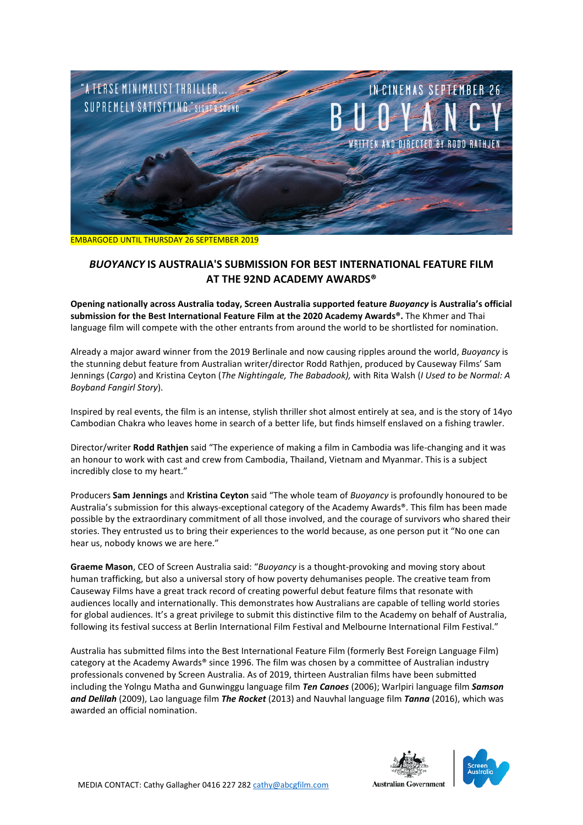

EMBARGOED UNTIL THURSDAY 26 SEPTEMBER 2019

# *BUOYANCY* **IS AUSTRALIA'S SUBMISSION FOR BEST INTERNATIONAL FEATURE FILM AT THE 92ND ACADEMY AWARDS®**

**Opening nationally across Australia today, Screen Australia supported feature** *Buoyancy* **is Australia's official submission for the Best International Feature Film at the 2020 Academy Awards®.** The Khmer and Thai language film will compete with the other entrants from around the world to be shortlisted for nomination.

Already a major award winner from the 2019 Berlinale and now causing ripples around the world, *Buoyancy* is the stunning debut feature from Australian writer/director Rodd Rathjen, produced by Causeway Films' Sam Jennings (*Cargo*) and Kristina Ceyton (*The Nightingale, The Babadook),* with Rita Walsh (*I Used to be Normal: A Boyband Fangirl Story*).

Inspired by real events, the film is an intense, stylish thriller shot almost entirely at sea, and is the story of 14yo Cambodian Chakra who leaves home in search of a better life, but finds himself enslaved on a fishing trawler.

Director/writer **Rodd Rathjen** said "The experience of making a film in Cambodia was life-changing and it was an honour to work with cast and crew from Cambodia, Thailand, Vietnam and Myanmar. This is a subject incredibly close to my heart."

Producers **Sam Jennings** and **Kristina Ceyton** said "The whole team of *Buoyancy* is profoundly honoured to be Australia's submission for this always-exceptional category of the Academy Awards®. This film has been made possible by the extraordinary commitment of all those involved, and the courage of survivors who shared their stories. They entrusted us to bring their experiences to the world because, as one person put it "No one can hear us, nobody knows we are here."

**Graeme Mason**, CEO of Screen Australia said: "*Buoyancy* is a thought-provoking and moving story about human trafficking, but also a universal story of how poverty dehumanises people. The creative team from Causeway Films have a great track record of creating powerful debut feature films that resonate with audiences locally and internationally. This demonstrates how Australians are capable of telling world stories for global audiences. It's a great privilege to submit this distinctive film to the Academy on behalf of Australia, following its festival success at Berlin International Film Festival and Melbourne International Film Festival."

Australia has submitted films into the Best International Feature Film (formerly Best Foreign Language Film) category at the Academy Awards® since 1996. The film was chosen by a committee of Australian industry professionals convened by Screen Australia. As of 2019, thirteen Australian films have been submitted including the Yolngu Matha and Gunwinggu language film *Ten Canoes* (2006); Warlpiri language film *Samson and Delilah* (2009), Lao language film *The Rocket* (2013) and Nauvhal language film *Tanna* (2016), which was awarded an official nomination.